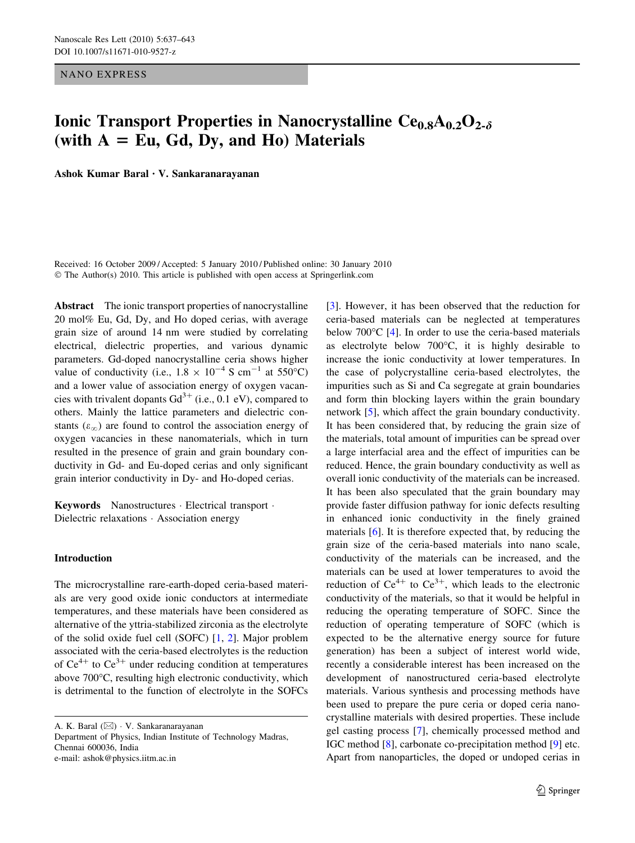NANO EXPRESS

# Ionic Transport Properties in Nanocrystalline  $Ce<sub>0.8</sub>A<sub>0.2</sub>O<sub>2-\delta</sub>$ (with  $A = Eu$ , Gd, Dy, and Ho) Materials

Ashok Kumar Baral *•* V. Sankaranarayanan

Received: 16 October 2009 / Accepted: 5 January 2010 / Published online: 30 January 2010  $\odot$  The Author(s) 2010. This article is published with open access at Springerlink.com

Abstract The ionic transport properties of nanocrystalline 20 mol% Eu, Gd, Dy, and Ho doped cerias, with average grain size of around 14 nm were studied by correlating electrical, dielectric properties, and various dynamic parameters. Gd-doped nanocrystalline ceria shows higher value of conductivity (i.e.,  $1.8 \times 10^{-4}$  S cm<sup>-1</sup> at 550°C) and a lower value of association energy of oxygen vacancies with trivalent dopants  $Gd^{3+}$  (i.e., 0.1 eV), compared to others. Mainly the lattice parameters and dielectric constants  $(\varepsilon_{\infty})$  are found to control the association energy of oxygen vacancies in these nanomaterials, which in turn resulted in the presence of grain and grain boundary conductivity in Gd- and Eu-doped cerias and only significant grain interior conductivity in Dy- and Ho-doped cerias.

Keywords Nanostructures · Electrical transport · Dielectric relaxations · Association energy

## Introduction

The microcrystalline rare-earth-doped ceria-based materials are very good oxide ionic conductors at intermediate temperatures, and these materials have been considered as alternative of the yttria-stabilized zirconia as the electrolyte of the solid oxide fuel cell (SOFC) [[1,](#page-5-0) [2\]](#page-5-0). Major problem associated with the ceria-based electrolytes is the reduction of  $Ce^{4+}$  to  $Ce^{3+}$  under reducing condition at temperatures above 700°C, resulting high electronic conductivity, which is detrimental to the function of electrolyte in the SOFCs

A. K. Baral ( $\boxtimes$ ) · V. Sankaranarayanan

Department of Physics, Indian Institute of Technology Madras, Chennai 600036, India e-mail: ashok@physics.iitm.ac.in

[\[3](#page-5-0)]. However, it has been observed that the reduction for ceria-based materials can be neglected at temperatures below 700°C [[4\]](#page-6-0). In order to use the ceria-based materials as electrolyte below  $700^{\circ}$ C, it is highly desirable to increase the ionic conductivity at lower temperatures. In the case of polycrystalline ceria-based electrolytes, the impurities such as Si and Ca segregate at grain boundaries and form thin blocking layers within the grain boundary network [\[5](#page-6-0)], which affect the grain boundary conductivity. It has been considered that, by reducing the grain size of the materials, total amount of impurities can be spread over a large interfacial area and the effect of impurities can be reduced. Hence, the grain boundary conductivity as well as overall ionic conductivity of the materials can be increased. It has been also speculated that the grain boundary may provide faster diffusion pathway for ionic defects resulting in enhanced ionic conductivity in the finely grained materials [\[6](#page-6-0)]. It is therefore expected that, by reducing the grain size of the ceria-based materials into nano scale, conductivity of the materials can be increased, and the materials can be used at lower temperatures to avoid the reduction of  $Ce^{4+}$  to  $Ce^{3+}$ , which leads to the electronic conductivity of the materials, so that it would be helpful in reducing the operating temperature of SOFC. Since the reduction of operating temperature of SOFC (which is expected to be the alternative energy source for future generation) has been a subject of interest world wide, recently a considerable interest has been increased on the development of nanostructured ceria-based electrolyte materials. Various synthesis and processing methods have been used to prepare the pure ceria or doped ceria nanocrystalline materials with desired properties. These include gel casting process [[7\]](#page-6-0), chemically processed method and IGC method [[8\]](#page-6-0), carbonate co-precipitation method [\[9](#page-6-0)] etc. Apart from nanoparticles, the doped or undoped cerias in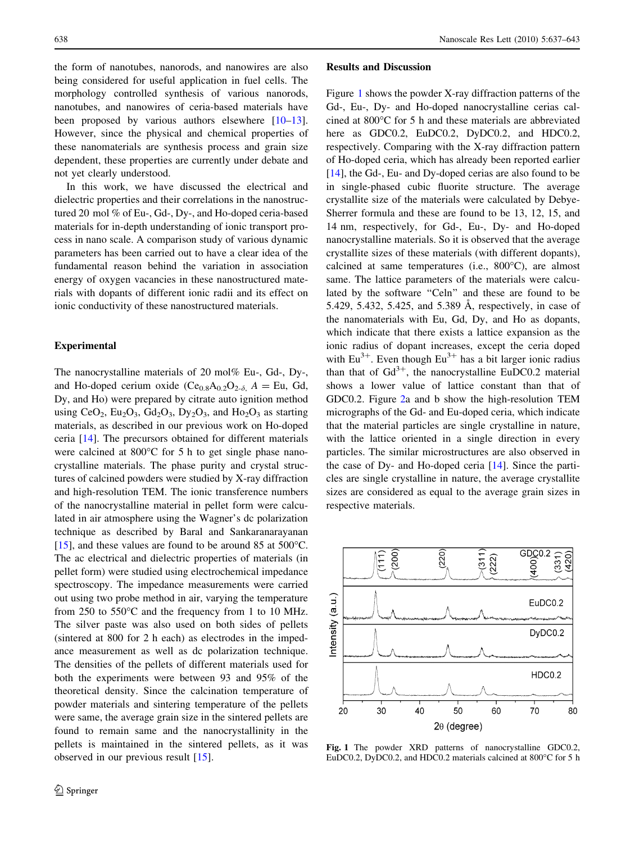the form of nanotubes, nanorods, and nanowires are also being considered for useful application in fuel cells. The morphology controlled synthesis of various nanorods, nanotubes, and nanowires of ceria-based materials have been proposed by various authors elsewhere [\[10–13](#page-6-0)]. However, since the physical and chemical properties of these nanomaterials are synthesis process and grain size dependent, these properties are currently under debate and not yet clearly understood.

In this work, we have discussed the electrical and dielectric properties and their correlations in the nanostructured 20 mol % of Eu-, Gd-, Dy-, and Ho-doped ceria-based materials for in-depth understanding of ionic transport process in nano scale. A comparison study of various dynamic parameters has been carried out to have a clear idea of the fundamental reason behind the variation in association energy of oxygen vacancies in these nanostructured materials with dopants of different ionic radii and its effect on ionic conductivity of these nanostructured materials.

## Experimental

The nanocrystalline materials of 20 mol% Eu-, Gd-, Dy-, and Ho-doped cerium oxide  $(Ce_{0.8}A_{0.2}O_{2-\delta}$ ,  $A = Eu$ , Gd, Dy, and Ho) were prepared by citrate auto ignition method using  $CeO_2$ ,  $Eu_2O_3$ ,  $Gd_2O_3$ ,  $Dy_2O_3$ , and  $Ho_2O_3$  as starting materials, as described in our previous work on Ho-doped ceria [\[14](#page-6-0)]. The precursors obtained for different materials were calcined at  $800^{\circ}$ C for 5 h to get single phase nanocrystalline materials. The phase purity and crystal structures of calcined powders were studied by X-ray diffraction and high-resolution TEM. The ionic transference numbers of the nanocrystalline material in pellet form were calculated in air atmosphere using the Wagner's dc polarization technique as described by Baral and Sankaranarayanan [ $15$ ], and these values are found to be around 85 at 500 $^{\circ}$ C. The ac electrical and dielectric properties of materials (in pellet form) were studied using electrochemical impedance spectroscopy. The impedance measurements were carried out using two probe method in air, varying the temperature from  $250$  to  $550^{\circ}$ C and the frequency from 1 to 10 MHz. The silver paste was also used on both sides of pellets (sintered at 800 for 2 h each) as electrodes in the impedance measurement as well as dc polarization technique. The densities of the pellets of different materials used for both the experiments were between 93 and 95% of the theoretical density. Since the calcination temperature of powder materials and sintering temperature of the pellets were same, the average grain size in the sintered pellets are found to remain same and the nanocrystallinity in the pellets is maintained in the sintered pellets, as it was observed in our previous result [[15\]](#page-6-0).

#### Results and Discussion

Figure 1 shows the powder X-ray diffraction patterns of the Gd-, Eu-, Dy- and Ho-doped nanocrystalline cerias calcined at  $800^{\circ}$ C for 5 h and these materials are abbreviated here as GDC0.2, EuDC0.2, DyDC0.2, and HDC0.2, respectively. Comparing with the X-ray diffraction pattern of Ho-doped ceria, which has already been reported earlier [\[14](#page-6-0)], the Gd-, Eu- and Dy-doped cerias are also found to be in single-phased cubic fluorite structure. The average crystallite size of the materials were calculated by Debye-Sherrer formula and these are found to be 13, 12, 15, and 14 nm, respectively, for Gd-, Eu-, Dy- and Ho-doped nanocrystalline materials. So it is observed that the average crystallite sizes of these materials (with different dopants), calcined at same temperatures (i.e., 800°C), are almost same. The lattice parameters of the materials were calculated by the software "Celn" and these are found to be 5.429, 5.432, 5.425, and 5.389 Å, respectively, in case of the nanomaterials with Eu, Gd, Dy, and Ho as dopants, which indicate that there exists a lattice expansion as the ionic radius of dopant increases, except the ceria doped with  $Eu^{3+}$ . Even though  $Eu^{3+}$  has a bit larger ionic radius than that of  $Gd^{3+}$ , the nanocrystalline EuDC0.2 material shows a lower value of lattice constant than that of GDC0.2. Figure [2a](#page-2-0) and b show the high-resolution TEM micrographs of the Gd- and Eu-doped ceria, which indicate that the material particles are single crystalline in nature, with the lattice oriented in a single direction in every particles. The similar microstructures are also observed in the case of Dy- and Ho-doped ceria [[14\]](#page-6-0). Since the particles are single crystalline in nature, the average crystallite sizes are considered as equal to the average grain sizes in respective materials.



Fig. 1 The powder XRD patterns of nanocrystalline GDC0.2, EuDC0.2, DyDC0.2, and HDC0.2 materials calcined at 800°C for 5 h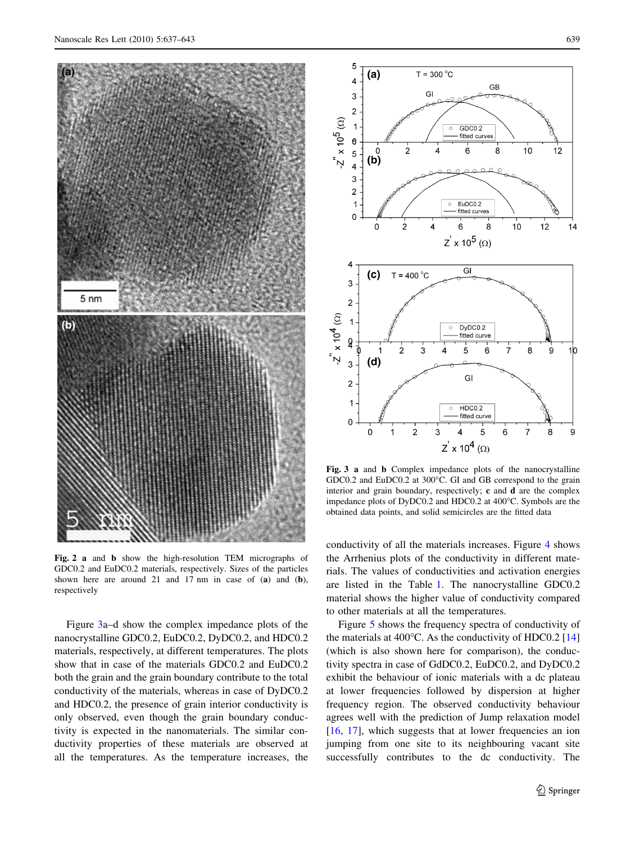<span id="page-2-0"></span>

Fig. 2 a and b show the high-resolution TEM micrographs of GDC0.2 and EuDC0.2 materials, respectively. Sizes of the particles shown here are around 21 and 17 nm in case of (a) and (b), respectively

Figure 3a–d show the complex impedance plots of the nanocrystalline GDC0.2, EuDC0.2, DyDC0.2, and HDC0.2 materials, respectively, at different temperatures. The plots show that in case of the materials GDC0.2 and EuDC0.2 both the grain and the grain boundary contribute to the total conductivity of the materials, whereas in case of DyDC0.2 and HDC0.2, the presence of grain interior conductivity is only observed, even though the grain boundary conductivity is expected in the nanomaterials. The similar conductivity properties of these materials are observed at all the temperatures. As the temperature increases, the



Fig. 3 a and b Complex impedance plots of the nanocrystalline GDC0.2 and EuDC0.2 at 300°C. GI and GB correspond to the grain interior and grain boundary, respectively; c and d are the complex impedance plots of DyDC0.2 and HDC0.2 at 400°C. Symbols are the obtained data points, and solid semicircles are the fitted data

conductivity of all the materials increases. Figure [4](#page-3-0) shows the Arrhenius plots of the conductivity in different materials. The values of conductivities and activation energies are listed in the Table [1](#page-3-0). The nanocrystalline GDC0.2 material shows the higher value of conductivity compared to other materials at all the temperatures.

Figure [5](#page-3-0) shows the frequency spectra of conductivity of the materials at  $400^{\circ}$ C. As the conductivity of HDC0.2 [[14\]](#page-6-0) (which is also shown here for comparison), the conductivity spectra in case of GdDC0.2, EuDC0.2, and DyDC0.2 exhibit the behaviour of ionic materials with a dc plateau at lower frequencies followed by dispersion at higher frequency region. The observed conductivity behaviour agrees well with the prediction of Jump relaxation model [\[16](#page-6-0), [17\]](#page-6-0), which suggests that at lower frequencies an ion jumping from one site to its neighbouring vacant site successfully contributes to the dc conductivity. The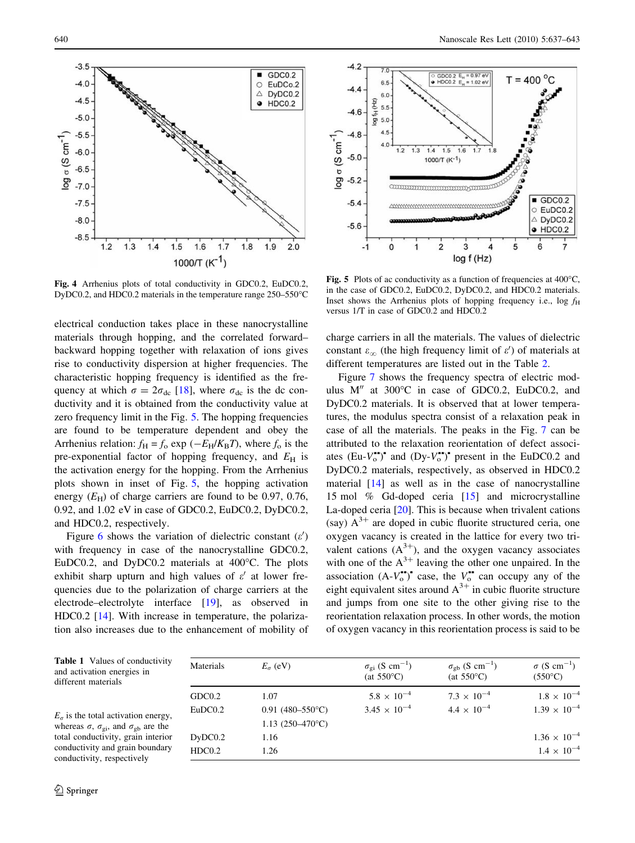<span id="page-3-0"></span>

Fig. 4 Arrhenius plots of total conductivity in GDC0.2, EuDC0.2, DyDC0.2, and HDC0.2 materials in the temperature range 250–550°C

electrical conduction takes place in these nanocrystalline materials through hopping, and the correlated forward– backward hopping together with relaxation of ions gives rise to conductivity dispersion at higher frequencies. The characteristic hopping frequency is identified as the frequency at which  $\sigma = 2\sigma_{\text{dc}}$  [[18\]](#page-6-0), where  $\sigma_{\text{dc}}$  is the dc conductivity and it is obtained from the conductivity value at zero frequency limit in the Fig. 5. The hopping frequencies are found to be temperature dependent and obey the Arrhenius relation:  $f_{\rm H} = f_{\rm o} \exp(-E_{\rm H}/K_{\rm B}T)$ , where  $f_{\rm o}$  is the pre-exponential factor of hopping frequency, and  $E_H$  is the activation energy for the hopping. From the Arrhenius plots shown in inset of Fig. 5, the hopping activation energy  $(E_{\rm H})$  of charge carriers are found to be 0.97, 0.76, 0.92, and 1.02 eV in case of GDC0.2, EuDC0.2, DyDC0.2, and HDC0.2, respectively.

Figure [6](#page-4-0) shows the variation of dielectric constant  $(\varepsilon')$ with frequency in case of the nanocrystalline GDC0.2, EuDC0.2, and DyDC0.2 materials at 400°C. The plots exhibit sharp upturn and high values of  $\varepsilon'$  at lower frequencies due to the polarization of charge carriers at the electrode–electrolyte interface [[19\]](#page-6-0), as observed in HDC0.2 [[14\]](#page-6-0). With increase in temperature, the polarization also increases due to the enhancement of mobility of



Fig. 5 Plots of ac conductivity as a function of frequencies at  $400^{\circ}$ C, in the case of GDC0.2, EuDC0.2, DyDC0.2, and HDC0.2 materials. Inset shows the Arrhenius plots of hopping frequency i.e.,  $\log f_H$ versus 1/T in case of GDC0.2 and HDC0.2

charge carriers in all the materials. The values of dielectric constant  $\varepsilon_{\infty}$  (the high frequency limit of  $\varepsilon'$ ) of materials at different temperatures are listed out in the Table [2.](#page-4-0)

Figure [7](#page-4-0) shows the frequency spectra of electric modulus M" at 300°C in case of GDC0.2, EuDC0.2, and DyDC0.2 materials. It is observed that at lower temperatures, the modulus spectra consist of a relaxation peak in case of all the materials. The peaks in the Fig. [7](#page-4-0) can be attributed to the relaxation reorientation of defect associates  $(Eu-V_0^{\bullet})^{\bullet}$  and  $(Dy-V_0^{\bullet})^{\bullet}$  present in the EuDC0.2 and DyDC0.2 materials, respectively, as observed in HDC0.2 material [[14\]](#page-6-0) as well as in the case of nanocrystalline 15 mol % Gd-doped ceria [\[15](#page-6-0)] and microcrystalline La-doped ceria [[20\]](#page-6-0). This is because when trivalent cations (say)  $A^{3+}$  are doped in cubic fluorite structured ceria, one oxygen vacancy is created in the lattice for every two trivalent cations  $(A^{3+})$ , and the oxygen vacancy associates with one of the  $A^{3+}$  leaving the other one unpaired. In the association  $(A-V_0^{\bullet})^{\bullet}$  case, the  $V_0^{\bullet\bullet}$  can occupy any of the eight equivalent sites around  $A^{3+}$  in cubic fluorite structure and jumps from one site to the other giving rise to the reorientation relaxation process. In other words, the motion of oxygen vacancy in this reorientation process is said to be

| <b>Table 1</b> Values of conductivity<br>and activation energies in<br>different materials                                                                                                                          | Materials | $E_{\sigma}$ (eV)         | $\sigma_{\rm gi}$ (S cm <sup>-1</sup> )<br>(at $550^{\circ}$ C) | $\sigma_{\rm gb}$ (S cm <sup>-1</sup> )<br>(at $550^{\circ}$ C) | $\sigma$ (S cm <sup>-1</sup> )<br>$(550^{\circ}C)$ |
|---------------------------------------------------------------------------------------------------------------------------------------------------------------------------------------------------------------------|-----------|---------------------------|-----------------------------------------------------------------|-----------------------------------------------------------------|----------------------------------------------------|
|                                                                                                                                                                                                                     | GDC0.2    | 1.07                      | $5.8 \times 10^{-4}$                                            | $7.3 \times 10^{-4}$                                            | $1.8 \times 10^{-4}$                               |
| $E_{\sigma}$ is the total activation energy,<br>whereas $\sigma$ , $\sigma_{gi}$ , and $\sigma_{gb}$ are the<br>total conductivity, grain interior<br>conductivity and grain boundary<br>conductivity, respectively | EuDC0.2   | $0.91(480-550^{\circ}C)$  | $3.45 \times 10^{-4}$                                           | $4.4 \times 10^{-4}$                                            | $1.39 \times 10^{-4}$                              |
|                                                                                                                                                                                                                     |           | 1.13 $(250-470^{\circ}C)$ |                                                                 |                                                                 |                                                    |
|                                                                                                                                                                                                                     | DyDC0.2   | 1.16                      |                                                                 |                                                                 | $1.36 \times 10^{-4}$                              |
|                                                                                                                                                                                                                     | HDC0.2    | 1.26                      |                                                                 |                                                                 | $1.4 \times 10^{-4}$                               |

conductivity, resp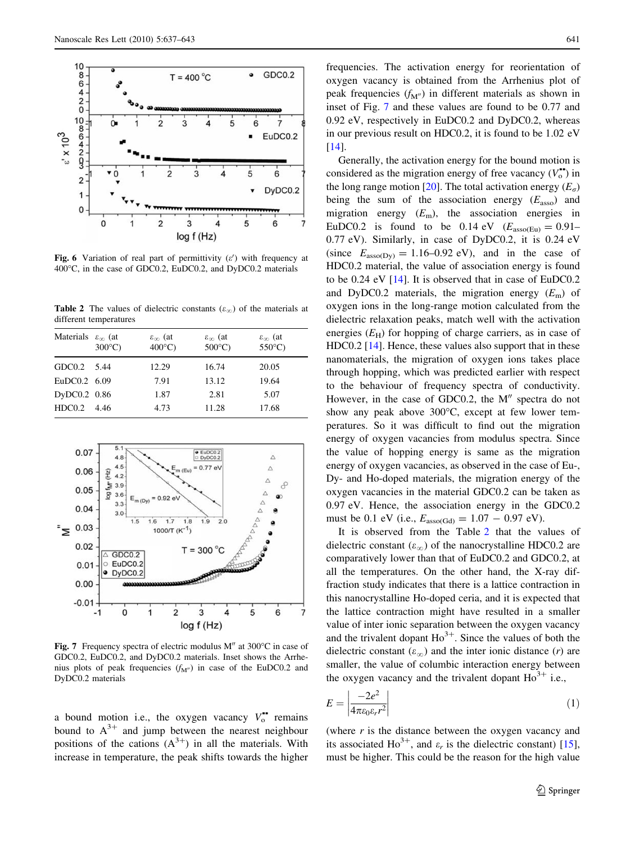<span id="page-4-0"></span>

Fig. 6 Variation of real part of permittivity  $(\varepsilon')$  with frequency at 400°C, in the case of GDC0.2, EuDC0.2, and DyDC0.2 materials

**Table 2** The values of dielectric constants ( $\varepsilon_{\infty}$ ) of the materials at different temperatures

| $\varepsilon_{\infty}$ (at<br>$300^{\circ}$ C) | $\varepsilon_{\infty}$ (at<br>$400^{\circ}$ C) | $\varepsilon_{\infty}$ (at<br>$500^{\circ}$ C) | $\varepsilon_{\infty}$ (at<br>$550^{\circ}$ C) |
|------------------------------------------------|------------------------------------------------|------------------------------------------------|------------------------------------------------|
| GDC0.2 5.44                                    | 12.29                                          | 16.74                                          | 20.05                                          |
| EuDC0.2 6.09                                   | 7.91                                           | 13.12                                          | 19.64                                          |
| DyDC0.2 0.86                                   | 1.87                                           | 2.81                                           | 5.07                                           |
| 4.46                                           | 4.73                                           | 11.28                                          | 17.68                                          |
|                                                |                                                |                                                |                                                |



Fig. 7 Frequency spectra of electric modulus  $M''$  at 300°C in case of GDC0.2, EuDC0.2, and DyDC0.2 materials. Inset shows the Arrhenius plots of peak frequencies  $(f<sub>M</sub><sup>n</sup>)$  in case of the EuDC0.2 and DyDC0.2 materials

a bound motion i.e., the oxygen vacancy  $V_o^*$  remains bound to  $A^{3+}$  and jump between the nearest neighbour positions of the cations  $(A^{3+})$  in all the materials. With increase in temperature, the peak shifts towards the higher

frequencies. The activation energy for reorientation of oxygen vacancy is obtained from the Arrhenius plot of peak frequencies  $(f_{M<sup>0</sup>})$  in different materials as shown in inset of Fig. 7 and these values are found to be 0.77 and 0.92 eV, respectively in EuDC0.2 and DyDC0.2, whereas in our previous result on HDC0.2, it is found to be 1.02 eV [\[14](#page-6-0)].

Generally, the activation energy for the bound motion is considered as the migration energy of free vacancy  $(V_o^{\bullet})$  in the long range motion [[20](#page-6-0)]. The total activation energy  $(E_{\sigma})$ being the sum of the association energy  $(E_{\text{asso}})$  and migration energy  $(E<sub>m</sub>)$ , the association energies in EuDC0.2 is found to be 0.14 eV  $(E_{\text{assoc}(Eu}) = 0.91$ -0.77 eV). Similarly, in case of DyDC0.2, it is 0.24 eV (since  $E_{\text{assoc}(Dy)} = 1.16{\text{-}}0.92 \text{ eV}$ ), and in the case of HDC0.2 material, the value of association energy is found to be 0.24 eV [[14\]](#page-6-0). It is observed that in case of EuDC0.2 and DyDC0.2 materials, the migration energy  $(E<sub>m</sub>)$  of oxygen ions in the long-range motion calculated from the dielectric relaxation peaks, match well with the activation energies  $(E_H)$  for hopping of charge carriers, as in case of HDC0.2 [\[14](#page-6-0)]. Hence, these values also support that in these nanomaterials, the migration of oxygen ions takes place through hopping, which was predicted earlier with respect to the behaviour of frequency spectra of conductivity. However, in the case of GDC0.2, the  $M''$  spectra do not show any peak above  $300^{\circ}$ C, except at few lower temperatures. So it was difficult to find out the migration energy of oxygen vacancies from modulus spectra. Since the value of hopping energy is same as the migration energy of oxygen vacancies, as observed in the case of Eu-, Dy- and Ho-doped materials, the migration energy of the oxygen vacancies in the material GDC0.2 can be taken as 0.97 eV. Hence, the association energy in the GDC0.2 must be 0.1 eV (i.e.,  $E_{\rm assoc(Gd)} = 1.07 - 0.97$  eV).

It is observed from the Table 2 that the values of dielectric constant  $(\varepsilon_{\infty})$  of the nanocrystalline HDC0.2 are comparatively lower than that of EuDC0.2 and GDC0.2, at all the temperatures. On the other hand, the X-ray diffraction study indicates that there is a lattice contraction in this nanocrystalline Ho-doped ceria, and it is expected that the lattice contraction might have resulted in a smaller value of inter ionic separation between the oxygen vacancy and the trivalent dopant  $Ho^{3+}$ . Since the values of both the dielectric constant  $(\varepsilon_{\infty})$  and the inter ionic distance (*r*) are smaller, the value of columbic interaction energy between the oxygen vacancy and the trivalent dopant  $Ho^{3+}$  i.e.,

$$
E = \left| \frac{-2e^2}{4\pi\varepsilon_0\varepsilon_r r^2} \right| \tag{1}
$$

(where  $r$  is the distance between the oxygen vacancy and its associated Ho<sup>3+</sup>, and  $\varepsilon_r$  is the dielectric constant) [\[15](#page-6-0)], must be higher. This could be the reason for the high value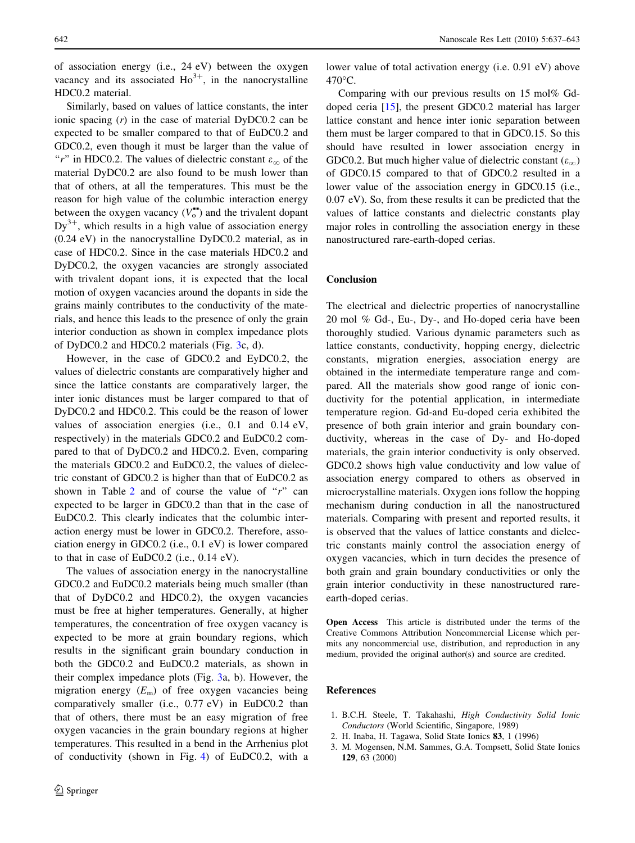<span id="page-5-0"></span>of association energy (i.e., 24 eV) between the oxygen vacancy and its associated  $Ho^{3+}$ , in the nanocrystalline HDC0.2 material.

Similarly, based on values of lattice constants, the inter ionic spacing (r) in the case of material DyDC0.2 can be expected to be smaller compared to that of EuDC0.2 and GDC0.2, even though it must be larger than the value of "r" in HDC0.2. The values of dielectric constant  $\varepsilon_{\infty}$  of the material DyDC0.2 are also found to be mush lower than that of others, at all the temperatures. This must be the reason for high value of the columbic interaction energy between the oxygen vacancy  $(V_o^{\bullet})$  and the trivalent dopant  $Dy^{3+}$ , which results in a high value of association energy (0.24 eV) in the nanocrystalline DyDC0.2 material, as in case of HDC0.2. Since in the case materials HDC0.2 and DyDC0.2, the oxygen vacancies are strongly associated with trivalent dopant ions, it is expected that the local motion of oxygen vacancies around the dopants in side the grains mainly contributes to the conductivity of the materials, and hence this leads to the presence of only the grain interior conduction as shown in complex impedance plots of DyDC0.2 and HDC0.2 materials (Fig. [3c](#page-2-0), d).

However, in the case of GDC0.2 and EyDC0.2, the values of dielectric constants are comparatively higher and since the lattice constants are comparatively larger, the inter ionic distances must be larger compared to that of DyDC0.2 and HDC0.2. This could be the reason of lower values of association energies (i.e., 0.1 and 0.14 eV, respectively) in the materials GDC0.2 and EuDC0.2 compared to that of DyDC0.2 and HDC0.2. Even, comparing the materials GDC0.2 and EuDC0.2, the values of dielectric constant of GDC0.2 is higher than that of EuDC0.2 as shown in Table [2](#page-4-0) and of course the value of " $r$ " can expected to be larger in GDC0.2 than that in the case of EuDC0.2. This clearly indicates that the columbic interaction energy must be lower in GDC0.2. Therefore, association energy in GDC0.2 (i.e., 0.1 eV) is lower compared to that in case of EuDC0.2 (i.e., 0.14 eV).

The values of association energy in the nanocrystalline GDC0.2 and EuDC0.2 materials being much smaller (than that of DyDC0.2 and HDC0.2), the oxygen vacancies must be free at higher temperatures. Generally, at higher temperatures, the concentration of free oxygen vacancy is expected to be more at grain boundary regions, which results in the significant grain boundary conduction in both the GDC0.2 and EuDC0.2 materials, as shown in their complex impedance plots (Fig. [3a](#page-2-0), b). However, the migration energy  $(E_m)$  of free oxygen vacancies being comparatively smaller (i.e., 0.77 eV) in EuDC0.2 than that of others, there must be an easy migration of free oxygen vacancies in the grain boundary regions at higher temperatures. This resulted in a bend in the Arrhenius plot of conductivity (shown in Fig. [4\)](#page-3-0) of EuDC0.2, with a lower value of total activation energy (i.e. 0.91 eV) above  $470^{\circ}$ C.

Comparing with our previous results on 15 mol% Gddoped ceria [\[15](#page-6-0)], the present GDC0.2 material has larger lattice constant and hence inter ionic separation between them must be larger compared to that in GDC0.15. So this should have resulted in lower association energy in GDC0.2. But much higher value of dielectric constant  $(\varepsilon_{\infty})$ of GDC0.15 compared to that of GDC0.2 resulted in a lower value of the association energy in GDC0.15 (i.e., 0.07 eV). So, from these results it can be predicted that the values of lattice constants and dielectric constants play major roles in controlling the association energy in these nanostructured rare-earth-doped cerias.

## Conclusion

The electrical and dielectric properties of nanocrystalline 20 mol % Gd-, Eu-, Dy-, and Ho-doped ceria have been thoroughly studied. Various dynamic parameters such as lattice constants, conductivity, hopping energy, dielectric constants, migration energies, association energy are obtained in the intermediate temperature range and compared. All the materials show good range of ionic conductivity for the potential application, in intermediate temperature region. Gd-and Eu-doped ceria exhibited the presence of both grain interior and grain boundary conductivity, whereas in the case of Dy- and Ho-doped materials, the grain interior conductivity is only observed. GDC0.2 shows high value conductivity and low value of association energy compared to others as observed in microcrystalline materials. Oxygen ions follow the hopping mechanism during conduction in all the nanostructured materials. Comparing with present and reported results, it is observed that the values of lattice constants and dielectric constants mainly control the association energy of oxygen vacancies, which in turn decides the presence of both grain and grain boundary conductivities or only the grain interior conductivity in these nanostructured rareearth-doped cerias.

Open Access This article is distributed under the terms of the Creative Commons Attribution Noncommercial License which permits any noncommercial use, distribution, and reproduction in any medium, provided the original author(s) and source are credited.

## References

- 1. B.C.H. Steele, T. Takahashi, High Conductivity Solid Ionic Conductors (World Scientific, Singapore, 1989)
- 2. H. Inaba, H. Tagawa, Solid State Ionics 83, 1 (1996)
- 3. M. Mogensen, N.M. Sammes, G.A. Tompsett, Solid State Ionics 129, 63 (2000)